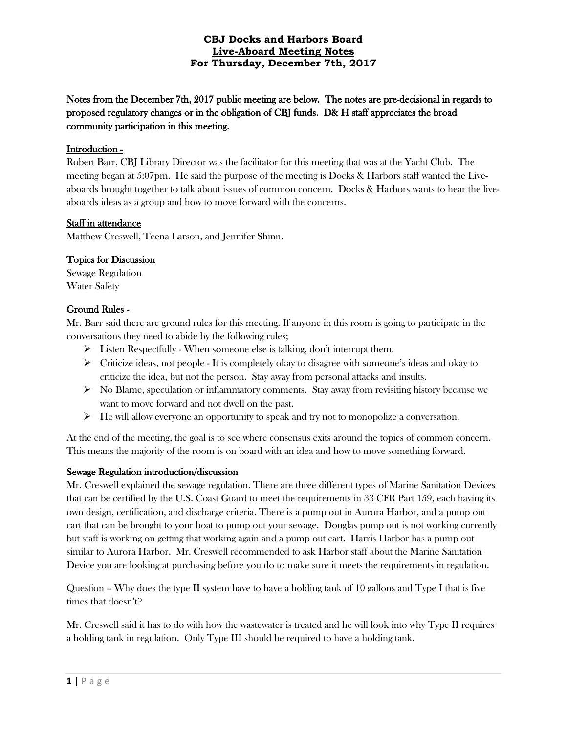Notes from the December 7th, 2017 public meeting are below. The notes are pre-decisional in regards to proposed regulatory changes or in the obligation of CBJ funds. D& H staff appreciates the broad community participation in this meeting.

## Introduction -

Robert Barr, CBJ Library Director was the facilitator for this meeting that was at the Yacht Club. The meeting began at 5:07pm. He said the purpose of the meeting is Docks & Harbors staff wanted the Liveaboards brought together to talk about issues of common concern. Docks & Harbors wants to hear the liveaboards ideas as a group and how to move forward with the concerns.

### Staff in attendance

Matthew Creswell, Teena Larson, and Jennifer Shinn.

# Topics for Discussion

Sewage Regulation Water Safety

# Ground Rules -

Mr. Barr said there are ground rules for this meeting. If anyone in this room is going to participate in the conversations they need to abide by the following rules;

- $\triangleright$  Listen Respectfully When someone else is talking, don't interrupt them.
- $\triangleright$  Criticize ideas, not people It is completely okay to disagree with someone's ideas and okay to criticize the idea, but not the person. Stay away from personal attacks and insults.
- $\triangleright$  No Blame, speculation or inflammatory comments. Stay away from revisiting history because we want to move forward and not dwell on the past.
- $\triangleright$  He will allow everyone an opportunity to speak and try not to monopolize a conversation.

At the end of the meeting, the goal is to see where consensus exits around the topics of common concern. This means the majority of the room is on board with an idea and how to move something forward.

# Sewage Regulation introduction/discussion

Mr. Creswell explained the sewage regulation. There are three different types of Marine Sanitation Devices that can be certified by the U.S. Coast Guard to meet the requirements in 33 CFR Part 159, each having its own design, certification, and discharge criteria. There is a pump out in Aurora Harbor, and a pump out cart that can be brought to your boat to pump out your sewage. Douglas pump out is not working currently but staff is working on getting that working again and a pump out cart. Harris Harbor has a pump out similar to Aurora Harbor. Mr. Creswell recommended to ask Harbor staff about the Marine Sanitation Device you are looking at purchasing before you do to make sure it meets the requirements in regulation.

Question – Why does the type II system have to have a holding tank of 10 gallons and Type I that is five times that doesn't?

Mr. Creswell said it has to do with how the wastewater is treated and he will look into why Type II requires a holding tank in regulation. Only Type III should be required to have a holding tank.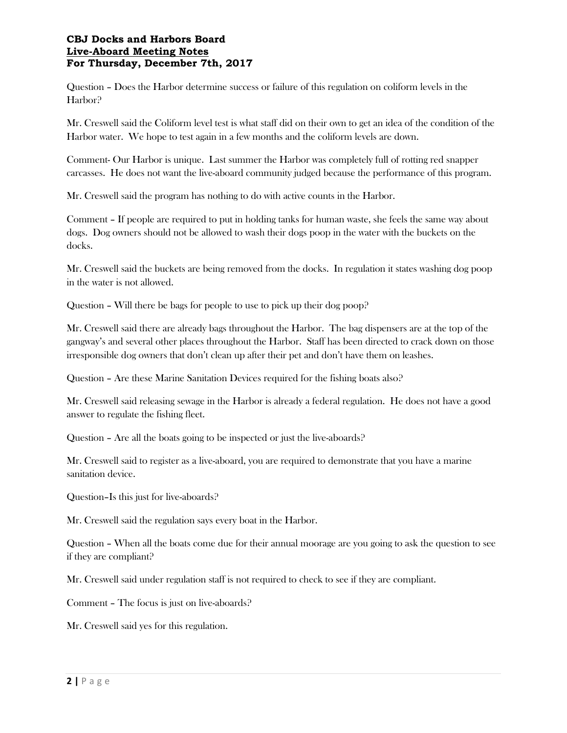Question – Does the Harbor determine success or failure of this regulation on coliform levels in the Harbor?

Mr. Creswell said the Coliform level test is what staff did on their own to get an idea of the condition of the Harbor water. We hope to test again in a few months and the coliform levels are down.

Comment- Our Harbor is unique. Last summer the Harbor was completely full of rotting red snapper carcasses. He does not want the live-aboard community judged because the performance of this program.

Mr. Creswell said the program has nothing to do with active counts in the Harbor.

Comment – If people are required to put in holding tanks for human waste, she feels the same way about dogs. Dog owners should not be allowed to wash their dogs poop in the water with the buckets on the docks.

Mr. Creswell said the buckets are being removed from the docks. In regulation it states washing dog poop in the water is not allowed.

Question – Will there be bags for people to use to pick up their dog poop?

Mr. Creswell said there are already bags throughout the Harbor. The bag dispensers are at the top of the gangway's and several other places throughout the Harbor. Staff has been directed to crack down on those irresponsible dog owners that don't clean up after their pet and don't have them on leashes.

Question – Are these Marine Sanitation Devices required for the fishing boats also?

Mr. Creswell said releasing sewage in the Harbor is already a federal regulation. He does not have a good answer to regulate the fishing fleet.

Question – Are all the boats going to be inspected or just the live-aboards?

Mr. Creswell said to register as a live-aboard, you are required to demonstrate that you have a marine sanitation device.

Question–Is this just for live-aboards?

Mr. Creswell said the regulation says every boat in the Harbor.

Question – When all the boats come due for their annual moorage are you going to ask the question to see if they are compliant?

Mr. Creswell said under regulation staff is not required to check to see if they are compliant.

Comment – The focus is just on live-aboards?

Mr. Creswell said yes for this regulation.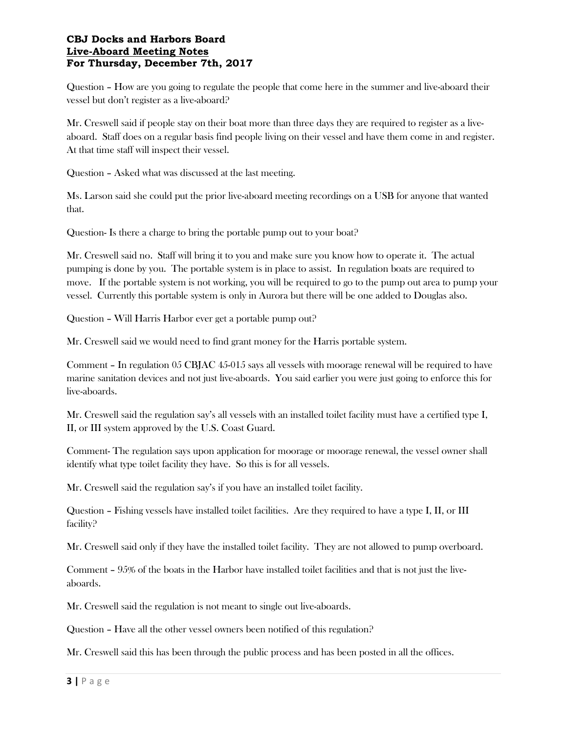Question – How are you going to regulate the people that come here in the summer and live-aboard their vessel but don't register as a live-aboard?

Mr. Creswell said if people stay on their boat more than three days they are required to register as a liveaboard. Staff does on a regular basis find people living on their vessel and have them come in and register. At that time staff will inspect their vessel.

Question – Asked what was discussed at the last meeting.

Ms. Larson said she could put the prior live-aboard meeting recordings on a USB for anyone that wanted that.

Question- Is there a charge to bring the portable pump out to your boat?

Mr. Creswell said no. Staff will bring it to you and make sure you know how to operate it. The actual pumping is done by you. The portable system is in place to assist. In regulation boats are required to move. If the portable system is not working, you will be required to go to the pump out area to pump your vessel. Currently this portable system is only in Aurora but there will be one added to Douglas also.

Question – Will Harris Harbor ever get a portable pump out?

Mr. Creswell said we would need to find grant money for the Harris portable system.

Comment – In regulation 05 CBJAC 45-015 says all vessels with moorage renewal will be required to have marine sanitation devices and not just live-aboards. You said earlier you were just going to enforce this for live-aboards.

Mr. Creswell said the regulation say's all vessels with an installed toilet facility must have a certified type I, II, or III system approved by the U.S. Coast Guard.

Comment- The regulation says upon application for moorage or moorage renewal, the vessel owner shall identify what type toilet facility they have. So this is for all vessels.

Mr. Creswell said the regulation say's if you have an installed toilet facility.

Question – Fishing vessels have installed toilet facilities. Are they required to have a type I, II, or III facility?

Mr. Creswell said only if they have the installed toilet facility. They are not allowed to pump overboard.

Comment – 95% of the boats in the Harbor have installed toilet facilities and that is not just the liveaboards.

Mr. Creswell said the regulation is not meant to single out live-aboards.

Question – Have all the other vessel owners been notified of this regulation?

Mr. Creswell said this has been through the public process and has been posted in all the offices.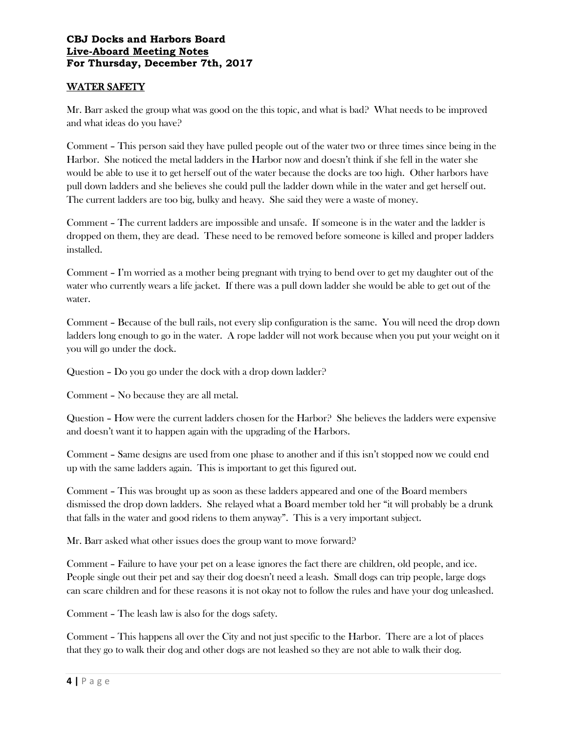# WATER SAFETY

Mr. Barr asked the group what was good on the this topic, and what is bad? What needs to be improved and what ideas do you have?

Comment – This person said they have pulled people out of the water two or three times since being in the Harbor. She noticed the metal ladders in the Harbor now and doesn't think if she fell in the water she would be able to use it to get herself out of the water because the docks are too high. Other harbors have pull down ladders and she believes she could pull the ladder down while in the water and get herself out. The current ladders are too big, bulky and heavy. She said they were a waste of money.

Comment – The current ladders are impossible and unsafe. If someone is in the water and the ladder is dropped on them, they are dead. These need to be removed before someone is killed and proper ladders installed.

Comment – I'm worried as a mother being pregnant with trying to bend over to get my daughter out of the water who currently wears a life jacket. If there was a pull down ladder she would be able to get out of the water.

Comment – Because of the bull rails, not every slip configuration is the same. You will need the drop down ladders long enough to go in the water. A rope ladder will not work because when you put your weight on it you will go under the dock.

Question – Do you go under the dock with a drop down ladder?

Comment – No because they are all metal.

Question – How were the current ladders chosen for the Harbor? She believes the ladders were expensive and doesn't want it to happen again with the upgrading of the Harbors.

Comment – Same designs are used from one phase to another and if this isn't stopped now we could end up with the same ladders again. This is important to get this figured out.

Comment – This was brought up as soon as these ladders appeared and one of the Board members dismissed the drop down ladders. She relayed what a Board member told her "it will probably be a drunk that falls in the water and good ridens to them anyway". This is a very important subject.

Mr. Barr asked what other issues does the group want to move forward?

Comment – Failure to have your pet on a lease ignores the fact there are children, old people, and ice. People single out their pet and say their dog doesn't need a leash. Small dogs can trip people, large dogs can scare children and for these reasons it is not okay not to follow the rules and have your dog unleashed.

Comment – The leash law is also for the dogs safety.

Comment – This happens all over the City and not just specific to the Harbor. There are a lot of places that they go to walk their dog and other dogs are not leashed so they are not able to walk their dog.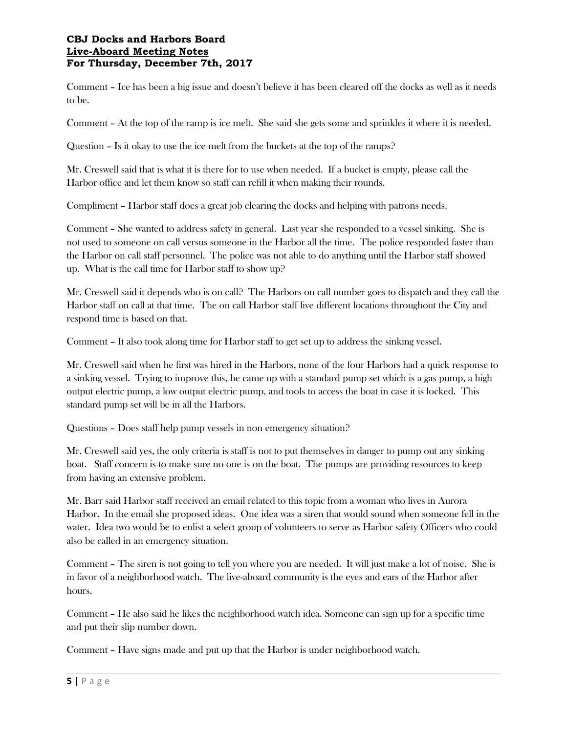Comment – Ice has been a big issue and doesn't believe it has been cleared off the docks as well as it needs to be.

Comment – At the top of the ramp is ice melt. She said she gets some and sprinkles it where it is needed.

Question – Is it okay to use the ice melt from the buckets at the top of the ramps?

Mr. Creswell said that is what it is there for to use when needed. If a bucket is empty, please call the Harbor office and let them know so staff can refill it when making their rounds.

Compliment – Harbor staff does a great job clearing the docks and helping with patrons needs.

Comment – She wanted to address safety in general. Last year she responded to a vessel sinking. She is not used to someone on call versus someone in the Harbor all the time. The police responded faster than the Harbor on call staff personnel. The police was not able to do anything until the Harbor staff showed up. What is the call time for Harbor staff to show up?

Mr. Creswell said it depends who is on call? The Harbors on call number goes to dispatch and they call the Harbor staff on call at that time. The on call Harbor staff live different locations throughout the City and respond time is based on that.

Comment – It also took along time for Harbor staff to get set up to address the sinking vessel.

Mr. Creswell said when he first was hired in the Harbors, none of the four Harbors had a quick response to a sinking vessel. Trying to improve this, he came up with a standard pump set which is a gas pump, a high output electric pump, a low output electric pump, and tools to access the boat in case it is locked. This standard pump set will be in all the Harbors.

Questions – Does staff help pump vessels in non emergency situation?

Mr. Creswell said yes, the only criteria is staff is not to put themselves in danger to pump out any sinking boat. Staff concern is to make sure no one is on the boat. The pumps are providing resources to keep from having an extensive problem.

Mr. Barr said Harbor staff received an email related to this topic from a woman who lives in Aurora Harbor. In the email she proposed ideas. One idea was a siren that would sound when someone fell in the water. Idea two would be to enlist a select group of volunteers to serve as Harbor safety Officers who could also be called in an emergency situation.

Comment – The siren is not going to tell you where you are needed. It will just make a lot of noise. She is in favor of a neighborhood watch. The live-aboard community is the eyes and ears of the Harbor after hours.

Comment – He also said he likes the neighborhood watch idea. Someone can sign up for a specific time and put their slip number down.

Comment – Have signs made and put up that the Harbor is under neighborhood watch.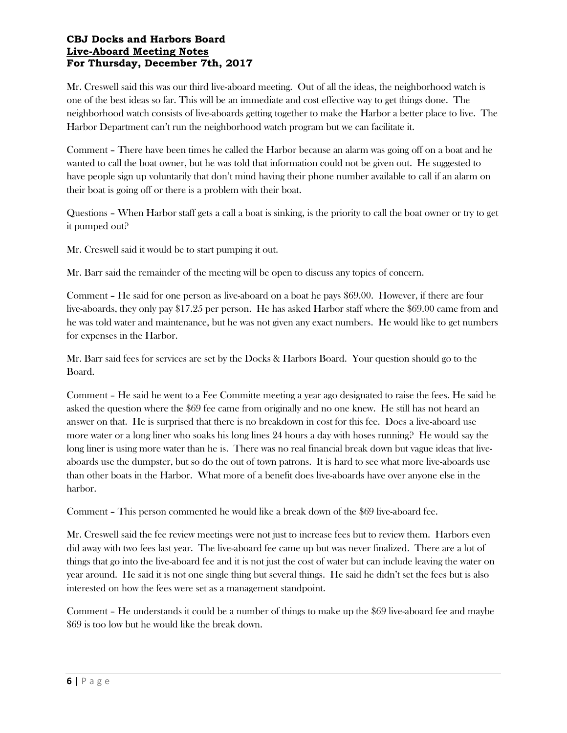Mr. Creswell said this was our third live-aboard meeting. Out of all the ideas, the neighborhood watch is one of the best ideas so far. This will be an immediate and cost effective way to get things done. The neighborhood watch consists of live-aboards getting together to make the Harbor a better place to live. The Harbor Department can't run the neighborhood watch program but we can facilitate it.

Comment – There have been times he called the Harbor because an alarm was going off on a boat and he wanted to call the boat owner, but he was told that information could not be given out. He suggested to have people sign up voluntarily that don't mind having their phone number available to call if an alarm on their boat is going off or there is a problem with their boat.

Questions – When Harbor staff gets a call a boat is sinking, is the priority to call the boat owner or try to get it pumped out?

Mr. Creswell said it would be to start pumping it out.

Mr. Barr said the remainder of the meeting will be open to discuss any topics of concern.

Comment – He said for one person as live-aboard on a boat he pays \$69.00. However, if there are four live-aboards, they only pay \$17.25 per person. He has asked Harbor staff where the \$69.00 came from and he was told water and maintenance, but he was not given any exact numbers. He would like to get numbers for expenses in the Harbor.

Mr. Barr said fees for services are set by the Docks & Harbors Board. Your question should go to the Board.

Comment – He said he went to a Fee Committe meeting a year ago designated to raise the fees. He said he asked the question where the \$69 fee came from originally and no one knew. He still has not heard an answer on that. He is surprised that there is no breakdown in cost for this fee. Does a live-aboard use more water or a long liner who soaks his long lines 24 hours a day with hoses running? He would say the long liner is using more water than he is. There was no real financial break down but vague ideas that liveaboards use the dumpster, but so do the out of town patrons. It is hard to see what more live-aboards use than other boats in the Harbor. What more of a benefit does live-aboards have over anyone else in the harbor.

Comment – This person commented he would like a break down of the \$69 live-aboard fee.

Mr. Creswell said the fee review meetings were not just to increase fees but to review them. Harbors even did away with two fees last year. The live-aboard fee came up but was never finalized. There are a lot of things that go into the live-aboard fee and it is not just the cost of water but can include leaving the water on year around. He said it is not one single thing but several things. He said he didn't set the fees but is also interested on how the fees were set as a management standpoint.

Comment – He understands it could be a number of things to make up the \$69 live-aboard fee and maybe \$69 is too low but he would like the break down.